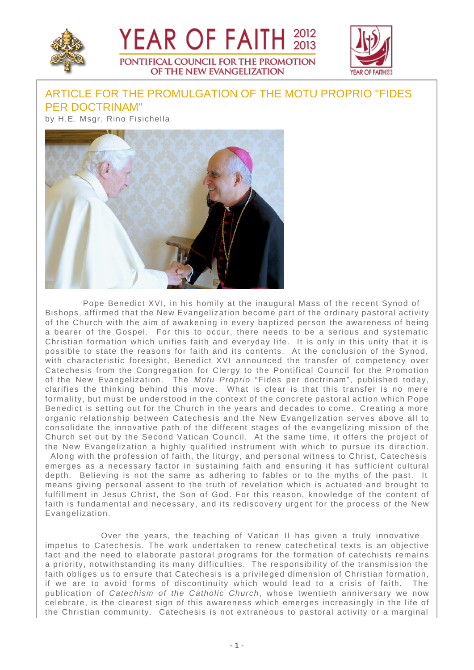





## ARTICLE FOR THE PROMULGATION OF THE MOTU PROPRIO "FIDES PER DOCTRINAM"

by H.E. Msgr. Rino Fisichella



 Pope Benedict XVI, in his homily at the inaugural Mass of the recent Synod of Bishops, affirmed that the New Evangelization become part of the ordinary pastoral activity of the Church with the aim of awakening in every baptized person the awareness of being a bearer of the Gospel. For this to occur, there needs to be a serious and systematic Christian formation which unifies faith and everyday life. It is only in this unity that it is possible to state the reasons for faith and its contents. At the conclusion of the Synod, with characteristic foresight, Benedict XVI announced the transfer of competency over Catechesis from the Congregation for Clergy to the Pontifical Council for the Promotion of the New Evangelization. The Motu Proprio "Fides per doctrinam", published today, clarifies the thinking behind this move. What is clear is that this transfer is no mere formality, but must be understood in the context of the concrete pastoral action which Pope Benedict is setting out for the Church in the years and decades to come. Creating a more organic relationship between Catechesis and the New Evangelization serves above all to consolidate the innovative path of the different stages of the evangelizing mission of the Church set out by the Second Vatican Council. At the same time, it offers the project of the New Evangelization a highly qualified instrument with which to pursue its direction. Along with the profession of faith, the liturgy, and personal witness to Christ, Catechesis emerges as a necessary factor in sustaining faith and ensuring it has sufficient cultural

depth. Believing is not the same as adhering to fables or to the myths of the past. It means giving personal assent to the truth of revelation which is actuated and brought to fulfillment in Jesus Christ, the Son of God. For this reason, knowledge of the content of faith is fundamental and necessary, and its rediscovery urgent for the process of the New Evangelization.

 Over the years, the teaching of Vatican II has given a truly innovative impetus to Catechesis. The work undertaken to renew catechetical texts is an objective fact and the need to elaborate pastoral programs for the formation of catechists remains a priority, notwithstanding its many difficulties. The responsibility of the transmission the faith obliges us to ensure that Catechesis is a privileged dimension of Christian formation, if we are to avoid forms of discontinuity which would lead to a crisis of faith. The publication of Catechism of the Catholic Church, whose twentieth anniversary we now celebrate, is the clearest sign of this awareness which emerges increasingly in the life of the Christian community. Catechesis is not extraneous to pastoral activity or a marginal